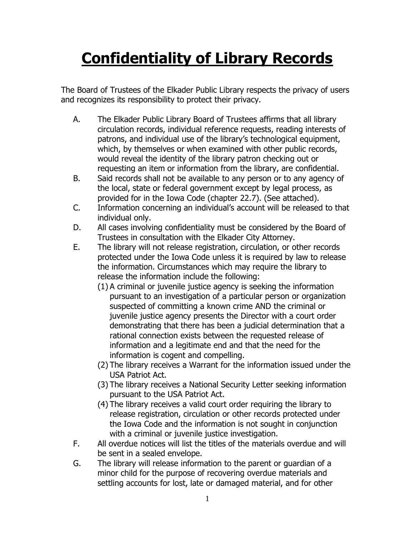## **Confidentiality of Library Records**

The Board of Trustees of the Elkader Public Library respects the privacy of users and recognizes its responsibility to protect their privacy.

- A. The Elkader Public Library Board of Trustees affirms that all library circulation records, individual reference requests, reading interests of patrons, and individual use of the library's technological equipment, which, by themselves or when examined with other public records, would reveal the identity of the library patron checking out or requesting an item or information from the library, are confidential.
- B. Said records shall not be available to any person or to any agency of the local, state or federal government except by legal process, as provided for in the Iowa Code (chapter 22.7). (See attached).
- C. Information concerning an individual's account will be released to that individual only.
- D. All cases involving confidentiality must be considered by the Board of Trustees in consultation with the Elkader City Attorney.
- E. The library will not release registration, circulation, or other records protected under the Iowa Code unless it is required by law to release the information. Circumstances which may require the library to release the information include the following:
	- (1) A criminal or juvenile justice agency is seeking the information pursuant to an investigation of a particular person or organization suspected of committing a known crime AND the criminal or juvenile justice agency presents the Director with a court order demonstrating that there has been a judicial determination that a rational connection exists between the requested release of information and a legitimate end and that the need for the information is cogent and compelling.
	- (2) The library receives a Warrant for the information issued under the USA Patriot Act.
	- (3) The library receives a National Security Letter seeking information pursuant to the USA Patriot Act.
	- (4) The library receives a valid court order requiring the library to release registration, circulation or other records protected under the Iowa Code and the information is not sought in conjunction with a criminal or juvenile justice investigation.
- F. All overdue notices will list the titles of the materials overdue and will be sent in a sealed envelope.
- G. The library will release information to the parent or guardian of a minor child for the purpose of recovering overdue materials and settling accounts for lost, late or damaged material, and for other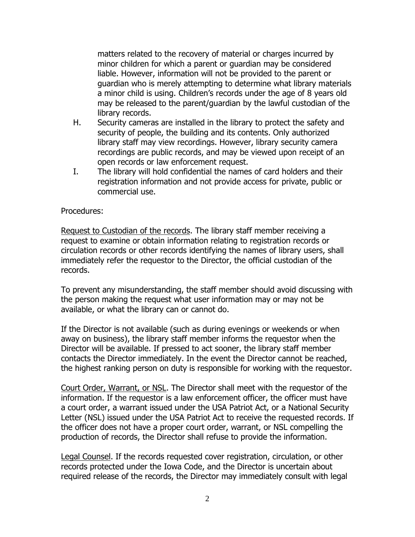matters related to the recovery of material or charges incurred by minor children for which a parent or guardian may be considered liable. However, information will not be provided to the parent or guardian who is merely attempting to determine what library materials a minor child is using. Children's records under the age of 8 years old may be released to the parent/guardian by the lawful custodian of the library records.

- H. Security cameras are installed in the library to protect the safety and security of people, the building and its contents. Only authorized library staff may view recordings. However, library security camera recordings are public records, and may be viewed upon receipt of an open records or law enforcement request.
- I. The library will hold confidential the names of card holders and their registration information and not provide access for private, public or commercial use.

## Procedures:

Request to Custodian of the records. The library staff member receiving a request to examine or obtain information relating to registration records or circulation records or other records identifying the names of library users, shall immediately refer the requestor to the Director, the official custodian of the records.

To prevent any misunderstanding, the staff member should avoid discussing with the person making the request what user information may or may not be available, or what the library can or cannot do.

If the Director is not available (such as during evenings or weekends or when away on business), the library staff member informs the requestor when the Director will be available. If pressed to act sooner, the library staff member contacts the Director immediately. In the event the Director cannot be reached, the highest ranking person on duty is responsible for working with the requestor.

Court Order, Warrant, or NSL. The Director shall meet with the requestor of the information. If the requestor is a law enforcement officer, the officer must have a court order, a warrant issued under the USA Patriot Act, or a National Security Letter (NSL) issued under the USA Patriot Act to receive the requested records. If the officer does not have a proper court order, warrant, or NSL compelling the production of records, the Director shall refuse to provide the information.

Legal Counsel. If the records requested cover registration, circulation, or other records protected under the Iowa Code, and the Director is uncertain about required release of the records, the Director may immediately consult with legal